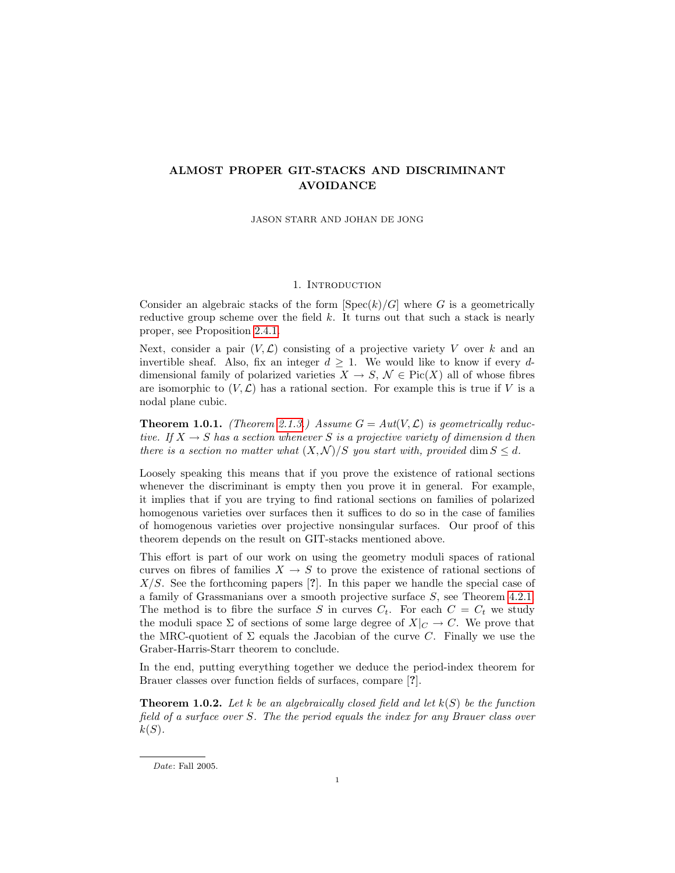# ALMOST PROPER GIT-STACKS AND DISCRIMINANT AVOIDANCE

JASON STARR AND JOHAN DE JONG

## 1. INTRODUCTION

Consider an algebraic stacks of the form  $|Spec(k)/G|$  where G is a geometrically reductive group scheme over the field  $k$ . It turns out that such a stack is nearly proper, see Proposition [2.4.1.](#page-6-0)

Next, consider a pair  $(V, \mathcal{L})$  consisting of a projective variety V over k and an invertible sheaf. Also, fix an integer  $d \geq 1$ . We would like to know if every ddimensional family of polarized varieties  $X \to S$ ,  $\mathcal{N} \in Pic(X)$  all of whose fibres are isomorphic to  $(V, \mathcal{L})$  has a rational section. For example this is true if V is a nodal plane cubic.

**Theorem 1.0.1.** (Theorem [2.1.3.](#page-1-0)) Assume  $G = Aut(V, \mathcal{L})$  is geometrically reductive. If  $X \to S$  has a section whenever S is a projective variety of dimension d then there is a section no matter what  $(X, \mathcal{N})/S$  you start with, provided dim  $S \leq d$ .

Loosely speaking this means that if you prove the existence of rational sections whenever the discriminant is empty then you prove it in general. For example, it implies that if you are trying to find rational sections on families of polarized homogenous varieties over surfaces then it suffices to do so in the case of families of homogenous varieties over projective nonsingular surfaces. Our proof of this theorem depends on the result on GIT-stacks mentioned above.

This effort is part of our work on using the geometry moduli spaces of rational curves on fibres of families  $X \to S$  to prove the existence of rational sections of  $X/S$ . See the forthcoming papers [?]. In this paper we handle the special case of a family of Grassmanians over a smooth projective surface S, see Theorem [4.2.1.](#page-12-0) The method is to fibre the surface S in curves  $C_t$ . For each  $C = C_t$  we study the moduli space  $\Sigma$  of sections of some large degree of  $X|_{C} \to C$ . We prove that the MRC-quotient of  $\Sigma$  equals the Jacobian of the curve C. Finally we use the Graber-Harris-Starr theorem to conclude.

In the end, putting everything together we deduce the period-index theorem for Brauer classes over function fields of surfaces, compare [?].

<span id="page-0-0"></span>**Theorem 1.0.2.** Let k be an algebraically closed field and let  $k(S)$  be the function field of a surface over S. The the period equals the index for any Brauer class over  $k(S)$ .

Date: Fall 2005.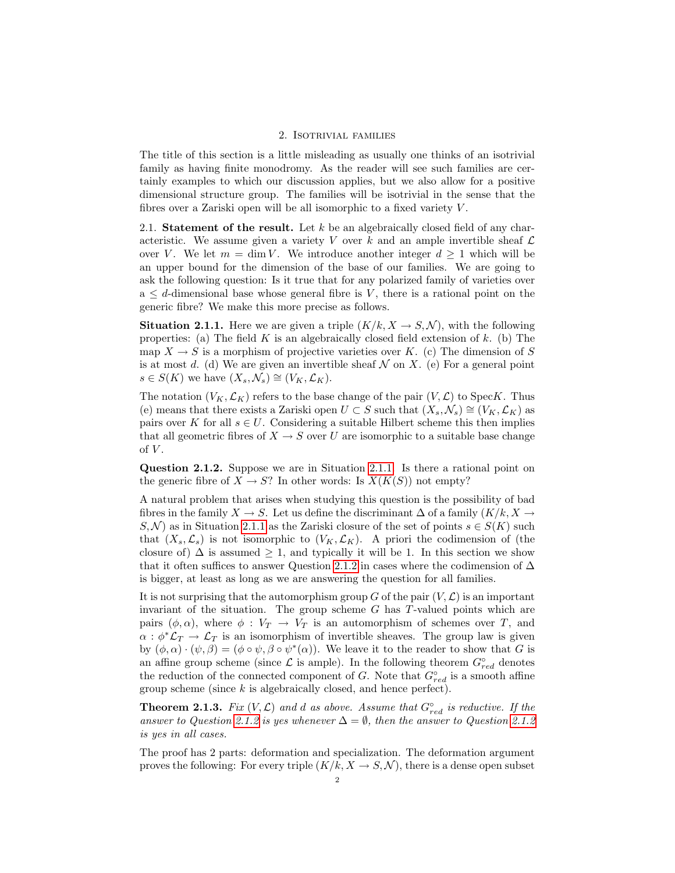#### 2. Isotrivial families

The title of this section is a little misleading as usually one thinks of an isotrivial family as having finite monodromy. As the reader will see such families are certainly examples to which our discussion applies, but we also allow for a positive dimensional structure group. The families will be isotrivial in the sense that the fibres over a Zariski open will be all isomorphic to a fixed variety  $V$ .

<span id="page-1-3"></span>2.1. Statement of the result. Let  $k$  be an algebraically closed field of any characteristic. We assume given a variety V over k and an ample invertible sheaf  $\mathcal L$ over V. We let  $m = \dim V$ . We introduce another integer  $d \geq 1$  which will be an upper bound for the dimension of the base of our families. We are going to ask the following question: Is it true that for any polarized family of varieties over  $a \leq d$ -dimensional base whose general fibre is V, there is a rational point on the generic fibre? We make this more precise as follows.

<span id="page-1-1"></span>**Situation 2.1.1.** Here we are given a triple  $(K/k, X \rightarrow S, \mathcal{N})$ , with the following properties: (a) The field  $K$  is an algebraically closed field extension of  $k$ . (b) The map  $X \to S$  is a morphism of projective varieties over K. (c) The dimension of S is at most d. (d) We are given an invertible sheaf  $N$  on X. (e) For a general point  $s \in S(K)$  we have  $(X_s, \mathcal{N}_s) \cong (V_K, \mathcal{L}_K)$ .

The notation  $(V_K, \mathcal{L}_K)$  refers to the base change of the pair  $(V, \mathcal{L})$  to SpecK. Thus (e) means that there exists a Zariski open  $U \subset S$  such that  $(X_s, \mathcal{N}_s) \cong (V_K, \mathcal{L}_K)$  as pairs over K for all  $s \in U$ . Considering a suitable Hilbert scheme this then implies that all geometric fibres of  $X \to S$  over U are isomorphic to a suitable base change of  $V$ .

<span id="page-1-2"></span>Question 2.1.2. Suppose we are in Situation [2.1.1.](#page-1-1) Is there a rational point on the generic fibre of  $X \to S$ ? In other words: Is  $X(K(S))$  not empty?

A natural problem that arises when studying this question is the possibility of bad fibres in the family  $X \to S$ . Let us define the discriminant  $\Delta$  of a family  $(K/k, X \to$  $S, \mathcal{N}$  as in Situation [2.1.1](#page-1-1) as the Zariski closure of the set of points  $s \in S(K)$  such that  $(X_s, \mathcal{L}_s)$  is not isomorphic to  $(V_K, \mathcal{L}_K)$ . A priori the codimension of (the closure of)  $\Delta$  is assumed  $\geq 1$ , and typically it will be 1. In this section we show that it often suffices to answer Question [2.1.2](#page-1-2) in cases where the codimension of  $\Delta$ is bigger, at least as long as we are answering the question for all families.

It is not surprising that the automorphism group G of the pair  $(V, \mathcal{L})$  is an important invariant of the situation. The group scheme  $G$  has  $T$ -valued points which are pairs  $(\phi, \alpha)$ , where  $\phi : V_T \to V_T$  is an automorphism of schemes over T, and  $\alpha : \phi^* \mathcal{L}_T \to \mathcal{L}_T$  is an isomorphism of invertible sheaves. The group law is given by  $(\phi, \alpha) \cdot (\psi, \beta) = (\phi \circ \psi, \beta \circ \psi^*(\alpha))$ . We leave it to the reader to show that G is an affine group scheme (since  $\mathcal L$  is ample). In the following theorem  $G^{\circ}_{red}$  denotes the reduction of the connected component of G. Note that  $G_{red}^{\circ}$  is a smooth affine group scheme (since  $k$  is algebraically closed, and hence perfect).

<span id="page-1-0"></span>**Theorem 2.1.3.** Fix  $(V, \mathcal{L})$  and d as above. Assume that  $G_{red}^{\circ}$  is reductive. If the answer to Question [2.1.2](#page-1-2) is yes whenever  $\Delta = \emptyset$ , then the answer to Question 2.1.2 is yes in all cases.

The proof has 2 parts: deformation and specialization. The deformation argument proves the following: For every triple  $(K/k, X \rightarrow S, \mathcal{N})$ , there is a dense open subset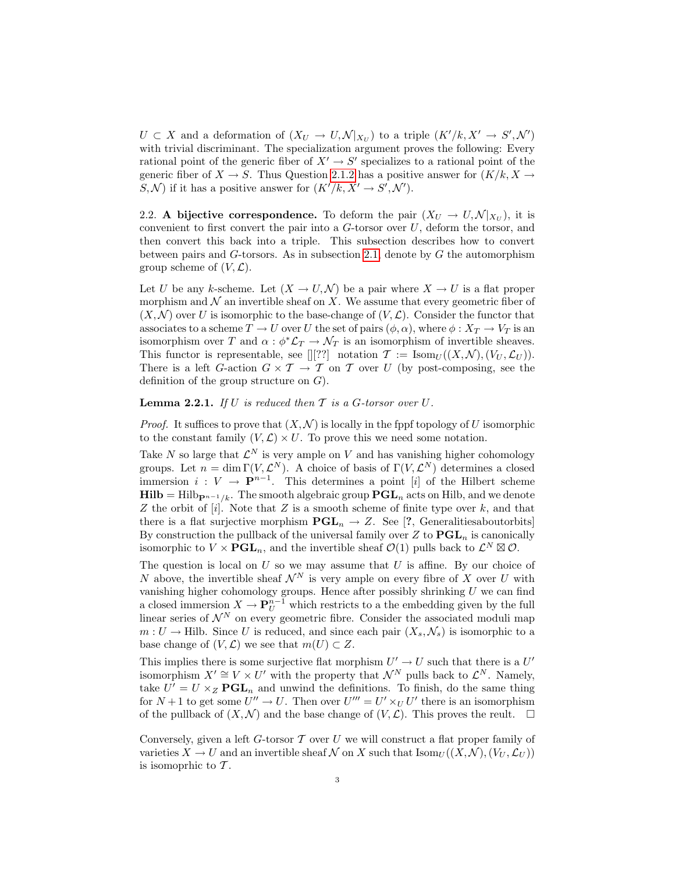$U \subset X$  and a deformation of  $(X_U \to U, \mathcal{N}|_{X_U})$  to a triple  $(K'/k, X' \to S', \mathcal{N}')$ with trivial discriminant. The specialization argument proves the following: Every rational point of the generic fiber of  $X' \to S'$  specializes to a rational point of the generic fiber of  $X \to S$ . Thus Question [2.1.2](#page-1-2) has a positive answer for  $(K/k, X \to S)$  $S, \mathcal{N}$  if it has a positive answer for  $(K'/k, X' \to S', \mathcal{N}')$ .

<span id="page-2-0"></span>2.2. A bijective correspondence. To deform the pair  $(X_U \to U, \mathcal{N}|_{X_U})$ , it is convenient to first convert the pair into a  $G$ -torsor over  $U$ , deform the torsor, and then convert this back into a triple. This subsection describes how to convert between pairs and  $G$ -torsors. As in subsection [2.1,](#page-1-3) denote by  $G$  the automorphism group scheme of  $(V, \mathcal{L})$ .

Let U be any k-scheme. Let  $(X \to U, \mathcal{N})$  be a pair where  $X \to U$  is a flat proper morphism and  $\mathcal N$  an invertible sheaf on X. We assume that every geometric fiber of  $(X, \mathcal{N})$  over U is isomorphic to the base-change of  $(V, \mathcal{L})$ . Consider the functor that associates to a scheme  $T \to U$  over U the set of pairs  $(\phi, \alpha)$ , where  $\phi : X_T \to V_T$  is an isomorphism over T and  $\alpha$ :  $\phi^* \mathcal{L}_T \to \mathcal{N}_T$  is an isomorphism of invertible sheaves. This functor is representable, see  $[][??]$  notation  $\mathcal{T} := \text{Isom}_U((X, \mathcal{N}), (V_U, \mathcal{L}_U)).$ There is a left G-action  $G \times T \to T$  on T over U (by post-composing, see the definition of the group structure on  $G$ ).

**Lemma 2.2.1.** If U is reduced then  $T$  is a  $G$ -torsor over  $U$ .

*Proof.* It suffices to prove that  $(X, \mathcal{N})$  is locally in the fppf topology of U isomorphic to the constant family  $(V, \mathcal{L}) \times U$ . To prove this we need some notation.

Take N so large that  $\mathcal{L}^N$  is very ample on V and has vanishing higher cohomology groups. Let  $n = \dim \Gamma(V, \mathcal{L}^N)$ . A choice of basis of  $\Gamma(V, \mathcal{L}^N)$  determines a closed immersion  $i: V \to \mathbf{P}^{n-1}$ . This determines a point [i] of the Hilbert scheme  $\textbf{Hilb} = \text{Hilb}_{\mathbf{P}^{n-1}/k}$ . The smooth algebraic group  $\textbf{PGL}_n$  acts on Hilb, and we denote Z the orbit of  $[i]$ . Note that Z is a smooth scheme of finite type over k, and that there is a flat surjective morphism  $PGL_n \to Z$ . See [?, Generalities about orbits] By construction the pullback of the universal family over  $Z$  to  $PGL_n$  is canonically isomorphic to  $V \times \mathbf{PGL}_n$ , and the invertible sheaf  $\mathcal{O}(1)$  pulls back to  $\mathcal{L}^N \boxtimes \mathcal{O}$ .

The question is local on  $U$  so we may assume that  $U$  is affine. By our choice of N above, the invertible sheaf  $\mathcal{N}^N$  is very ample on every fibre of X over U with vanishing higher cohomology groups. Hence after possibly shrinking  $U$  we can find a closed immersion  $X \to \mathbf{P}_U^{n-1}$  which restricts to a the embedding given by the full linear series of  $\mathcal{N}^N$  on every geometric fibre. Consider the associated moduli map  $m: U \to \text{Hilb. Since } U$  is reduced, and since each pair  $(X_s, \mathcal{N}_s)$  is isomorphic to a base change of  $(V, \mathcal{L})$  we see that  $m(U) \subset Z$ .

This implies there is some surjective flat morphism  $U' \to U$  such that there is a  $U'$ isomorphism  $X' \cong V \times U'$  with the property that  $\mathcal{N}^N$  pulls back to  $\mathcal{L}^N$ . Namely, take  $U' = U \times_Z \mathbf{PGL}_n$  and unwind the definitions. To finish, do the same thing for  $N+1$  to get some  $U'' \to U$ . Then over  $U''' = U' \times_U U'$  there is an isomorphism of the pullback of  $(X, \mathcal{N})$  and the base change of  $(V, \mathcal{L})$ . This proves the reult.  $\Box$ 

Conversely, given a left  $G$ -torsor  $T$  over  $U$  we will construct a flat proper family of varieties  $X \to U$  and an invertible sheaf N on X such that  $\text{Isom}_U((X, \mathcal{N}), (V_U, \mathcal{L}_U))$ is isomoprhic to  $\mathcal T$ .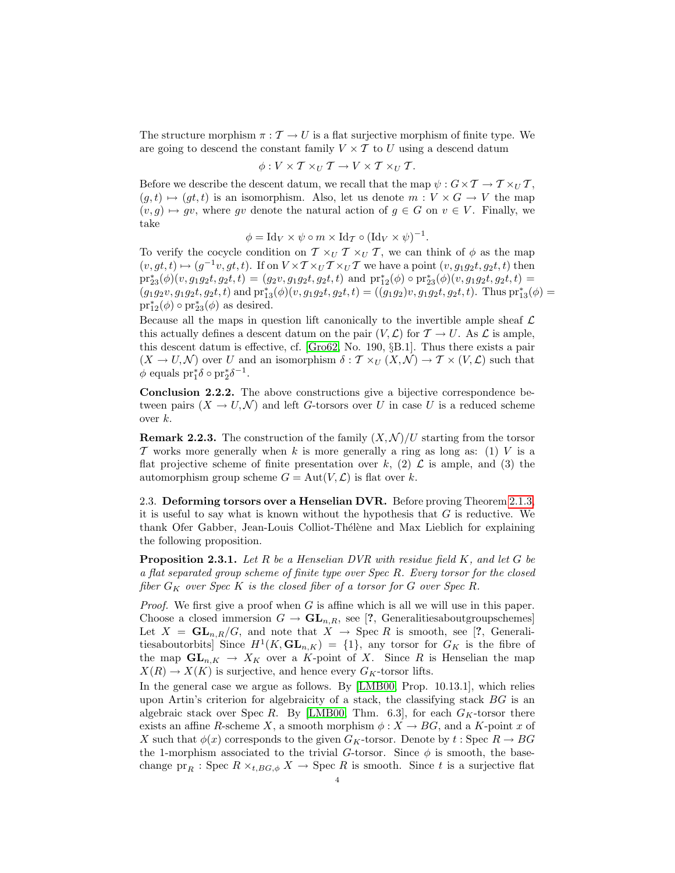The structure morphism  $\pi : \mathcal{T} \to U$  is a flat surjective morphism of finite type. We are going to descend the constant family  $V \times T$  to U using a descend datum

$$
\phi: V \times T \times_U T \to V \times T \times_U T.
$$

Before we describe the descent datum, we recall that the map  $\psi : G \times T \to T \times_U T$ ,  $(g, t) \mapsto (gt, t)$  is an isomorphism. Also, let us denote  $m : V \times G \to V$  the map  $(v, g) \mapsto gv$ , where gv denote the natural action of  $g \in G$  on  $v \in V$ . Finally, we take

$$
\phi = \text{Id}_V \times \psi \circ m \times \text{Id}_{\mathcal{T}} \circ (\text{Id}_V \times \psi)^{-1}.
$$

To verify the cocycle condition on  $\mathcal{T} \times_U \mathcal{T} \times_U \mathcal{T}$ , we can think of  $\phi$  as the map  $(v, gt, t) \mapsto (g^{-1}v, gt, t)$ . If on  $V \times T \times_U T \times_U T$  we have a point  $(v, g_1g_2t, g_2t, t)$  then  $pr_{23}^{*}(\phi)(v, g_1g_2t, g_2t, t) = (g_2v, g_1g_2t, g_2t, t)$  and  $pr_{12}^{*}(\phi) \circ pr_{23}^{*}(\phi)(v, g_1g_2t, g_2t, t) =$  $(g_1g_2v, g_1g_2t, g_2t, t)$  and  $\text{pr}_{13}^*(\phi)(v, g_1g_2t, g_2t, t) = ((g_1g_2)v, g_1g_2t, g_2t, t)$ . Thus  $\text{pr}_{13}^*(\phi) =$  $\mathrm{pr}_{12}^*(\phi) \circ \mathrm{pr}_{23}^*(\phi)$  as desired.

Because all the maps in question lift canonically to the invertible ample sheaf  $\mathcal L$ this actually defines a descent datum on the pair  $(V, \mathcal{L})$  for  $\mathcal{T} \to U$ . As  $\mathcal{L}$  is ample, this descent datum is effective, cf. [\[Gro62,](#page-16-0) No. 190, §B.1]. Thus there exists a pair  $(X \to U, \mathcal{N})$  over U and an isomorphism  $\delta : \mathcal{T} \times_U (X, \mathcal{N}) \to \mathcal{T} \times (V, \mathcal{L})$  such that  $\phi$  equals  $\mathrm{pr}_1^*\delta \circ \mathrm{pr}_2^*\delta^{-1}$ .

<span id="page-3-1"></span>Conclusion 2.2.2. The above constructions give a bijective correspondence between pairs  $(X \to U, \mathcal{N})$  and left G-torsors over U in case U is a reduced scheme over k.

<span id="page-3-2"></span>**Remark 2.2.3.** The construction of the family  $(X, \mathcal{N})/U$  starting from the torsor T works more generally when k is more generally a ring as long as: (1) V is a flat projective scheme of finite presentation over k, (2)  $\mathcal{L}$  is ample, and (3) the automorphism group scheme  $G = Aut(V, \mathcal{L})$  is flat over k.

2.3. Deforming torsors over a Henselian DVR. Before proving Theorem [2.1.3,](#page-1-0) it is useful to say what is known without the hypothesis that  $G$  is reductive. We thank Ofer Gabber, Jean-Louis Colliot-Thélène and Max Lieblich for explaining the following proposition.

<span id="page-3-0"></span>**Proposition 2.3.1.** Let R be a Henselian DVR with residue field K, and let G be a flat separated group scheme of finite type over Spec R. Every torsor for the closed fiber  $G_K$  over Spec K is the closed fiber of a torsor for G over Spec R.

*Proof.* We first give a proof when G is affine which is all we will use in this paper. Choose a closed immersion  $G \to \mathbf{GL}_{n,R}$ , see [?, Generalitiesaboutgroupschemes] Let  $X = GL_{n,R}/G$ , and note that  $X \rightarrow \text{Spec } R$  is smooth, see [?, Generalitiesaboutorbits] Since  $H^1(K,\mathbf{GL}_{n,K}) = \{1\}$ , any torsor for  $G_K$  is the fibre of the map  $\mathbf{GL}_{n,K} \to X_K$  over a K-point of X. Since R is Henselian the map  $X(R) \to X(K)$  is surjective, and hence every  $G_K$ -torsor lifts.

In the general case we argue as follows. By [\[LMB00,](#page-16-1) Prop. 10.13.1], which relies upon Artin's criterion for algebraicity of a stack, the classifying stack  $BG$  is an algebraic stack over Spec R. By [\[LMB00,](#page-16-1) Thm. 6.3], for each  $G_K$ -torsor there exists an affine R-scheme X, a smooth morphism  $\phi: X \to BG$ , and a K-point x of X such that  $\phi(x)$  corresponds to the given  $G_K$ -torsor. Denote by  $t :$  Spec  $R \to BG$ the 1-morphism associated to the trivial G-torsor. Since  $\phi$  is smooth, the basechange  $pr_R$ : Spec  $R \times_{t,BG,\phi} X \to \text{Spec } R$  is smooth. Since t is a surjective flat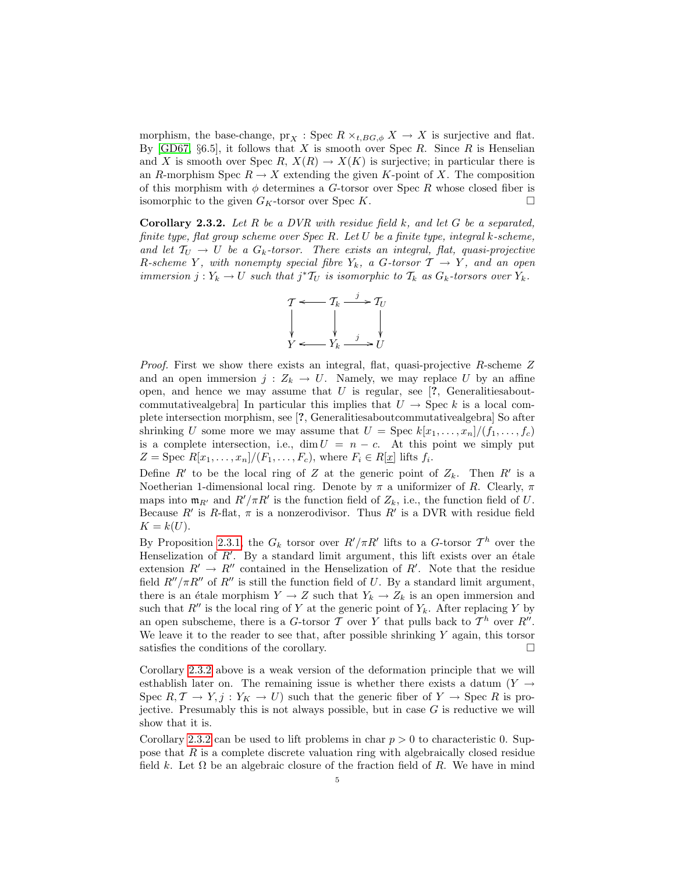morphism, the base-change,  $\text{pr}_X$ : Spec  $R \times_{t,BG,\phi} X \to X$  is surjective and flat. By [\[GD67,](#page-16-2)  $\S6.5$ ], it follows that X is smooth over Spec R. Since R is Henselian and X is smooth over Spec R,  $X(R) \to X(K)$  is surjective; in particular there is an R-morphism Spec  $R \to X$  extending the given K-point of X. The composition of this morphism with  $\phi$  determines a G-torsor over Spec R whose closed fiber is isomorphic to the given  $G_K$ -torsor over Spec K.

<span id="page-4-0"></span>**Corollary 2.3.2.** Let R be a DVR with residue field  $k$ , and let G be a separated, finite type, flat group scheme over Spec R. Let U be a finite type, integral k-scheme, and let  $T_U \rightarrow U$  be a  $G_k$ -torsor. There exists an integral, flat, quasi-projective R-scheme Y, with nonempty special fibre  $Y_k$ , a G-torsor  $\mathcal{T} \to Y$ , and an open immersion  $j: Y_k \to U$  such that  $j^*T_U$  is isomorphic to  $T_k$  as  $G_k$ -torsors over  $Y_k$ .



Proof. First we show there exists an integral, flat, quasi-projective R-scheme Z and an open immersion  $j: Z_k \to U$ . Namely, we may replace U by an affine open, and hence we may assume that  $U$  is regular, see  $[?$ , Generalitiesaboutcommutativealgebra] In particular this implies that  $U \rightarrow \text{Spec } k$  is a local complete intersection morphism, see [?, Generalitiesaboutcommutativealgebra] So after shrinking U some more we may assume that  $U = \text{Spec } k[x_1, \ldots, x_n]/(f_1, \ldots, f_c)$ is a complete intersection, i.e.,  $\dim U = n - c$ . At this point we simply put  $Z = \text{Spec } R[x_1, \ldots, x_n]/(F_1, \ldots, F_c)$ , where  $F_i \in R[\underline{x}]$  lifts  $f_i$ .

Define  $R'$  to be the local ring of Z at the generic point of  $Z_k$ . Then  $R'$  is a Noetherian 1-dimensional local ring. Denote by  $\pi$  a uniformizer of R. Clearly,  $\pi$ maps into  $\mathfrak{m}_{R'}$  and  $R'/\pi R'$  is the function field of  $Z_k$ , i.e., the function field of U. Because R' is R-flat,  $\pi$  is a nonzerodivisor. Thus R' is a DVR with residue field  $K = k(U).$ 

By Proposition [2.3.1,](#page-3-0) the  $G_k$  torsor over  $R'/\pi R'$  lifts to a G-torsor  $\mathcal{T}^h$  over the Henselization of  $R'$ . By a standard limit argument, this lift exists over an étale extension  $R' \to R''$  contained in the Henselization of R'. Note that the residue field  $R''/\pi R''$  of  $R''$  is still the function field of U. By a standard limit argument, there is an étale morphism  $Y \to Z$  such that  $Y_k \to Z_k$  is an open immersion and such that  $R''$  is the local ring of Y at the generic point of  $Y_k$ . After replacing Y by an open subscheme, there is a G-torsor T over Y that pulls back to  $\mathcal{T}^h$  over  $R''$ . We leave it to the reader to see that, after possible shrinking  $Y$  again, this torsor satisfies the conditions of the corollary.  $\Box$ 

Corollary [2.3.2](#page-4-0) above is a weak version of the deformation principle that we will esthablish later on. The remaining issue is whether there exists a datum  $(Y \rightarrow$ Spec  $R, \mathcal{T} \to Y, j : Y_K \to U$  such that the generic fiber of  $Y \to \text{Spec } R$  is projective. Presumably this is not always possible, but in case  $G$  is reductive we will show that it is.

Corollary [2.3.2](#page-4-0) can be used to lift problems in char  $p > 0$  to characteristic 0. Suppose that  $R$  is a complete discrete valuation ring with algebraically closed residue field k. Let  $\Omega$  be an algebraic closure of the fraction field of R. We have in mind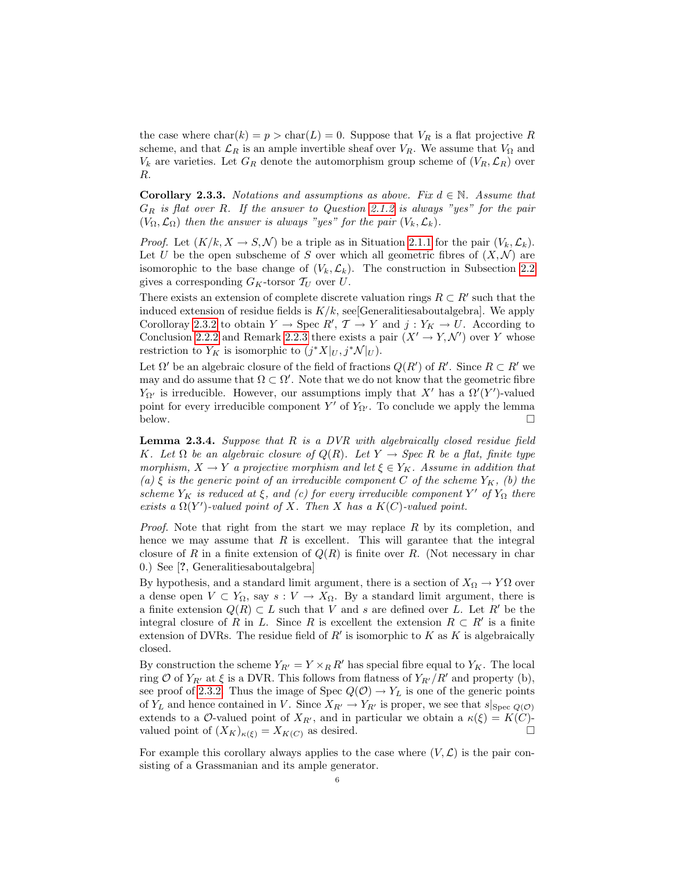the case where  $char(k) = p > char(L) = 0$ . Suppose that  $V_R$  is a flat projective R scheme, and that  $\mathcal{L}_R$  is an ample invertible sheaf over  $V_R$ . We assume that  $V_{\Omega}$  and  $V_k$  are varieties. Let  $G_R$  denote the automorphism group scheme of  $(V_R, \mathcal{L}_R)$  over R.

**Corollary 2.3.3.** Notations and assumptions as above. Fix  $d \in \mathbb{N}$ . Assume that  $G_R$  is flat over R. If the answer to Question [2.1.2](#page-1-2) is always "yes" for the pair  $(V_{\Omega}, \mathcal{L}_{\Omega})$  then the answer is always "yes" for the pair  $(V_{k}, \mathcal{L}_{k})$ .

*Proof.* Let  $(K/k, X \to S, \mathcal{N})$  be a triple as in Situation [2.1.1](#page-1-1) for the pair  $(V_k, \mathcal{L}_k)$ . Let U be the open subscheme of S over which all geometric fibres of  $(X, \mathcal{N})$  are isomorphic to the base change of  $(V_k, \mathcal{L}_k)$ . The construction in Subsection [2.2](#page-2-0) gives a corresponding  $G_K$ -torsor  $\mathcal{T}_U$  over U.

There exists an extension of complete discrete valuation rings  $R \subset R'$  such that the induced extension of residue fields is  $K/k$ , see Generalities about algebra. We apply Corolloray [2.3.2](#page-4-0) to obtain  $Y \to \text{Spec } R', T \to Y$  and  $j: Y_K \to U$ . According to Conclusion [2.2.2](#page-3-1) and Remark [2.2.3](#page-3-2) there exists a pair  $(X' \to Y, \mathcal{N}')$  over Y whose restriction to  $Y_K$  is isomorphic to  $(j^*X|_U, j^*\mathcal{N}|_U)$ .

Let  $\Omega'$  be an algebraic closure of the field of fractions  $Q(R')$  of R'. Since  $R \subset R'$  we may and do assume that  $\Omega \subset \Omega'$ . Note that we do not know that the geometric fibre  $Y_{\Omega'}$  is irreducible. However, our assumptions imply that X' has a  $\Omega'(Y')$ -valued point for every irreducible component Y' of  $Y_{\Omega'}$ . To conclude we apply the lemma below.  $\Box$ 

<span id="page-5-0"></span>**Lemma 2.3.4.** Suppose that  $R$  is a DVR with algebraically closed residue field K. Let  $\Omega$  be an algebraic closure of  $Q(R)$ . Let  $Y \to \text{Spec } R$  be a flat, finite type morphism,  $X \to Y$  a projective morphism and let  $\xi \in Y_K$ . Assume in addition that (a)  $\xi$  is the generic point of an irreducible component C of the scheme  $Y_K$ , (b) the scheme  $Y_K$  is reduced at  $\xi$ , and (c) for every irreducible component Y' of  $Y_\Omega$  there exists a  $\Omega(Y')$ -valued point of X. Then X has a  $K(C)$ -valued point.

*Proof.* Note that right from the start we may replace  $R$  by its completion, and hence we may assume that  $R$  is excellent. This will garantee that the integral closure of R in a finite extension of  $Q(R)$  is finite over R. (Not necessary in char 0.) See [?, Generalitiesaboutalgebra]

By hypothesis, and a standard limit argument, there is a section of  $X_{\Omega} \to Y\Omega$  over a dense open  $V \subset Y_{\Omega}$ , say  $s : V \to X_{\Omega}$ . By a standard limit argument, there is a finite extension  $Q(R) \subset L$  such that V and s are defined over L. Let R' be the integral closure of R in L. Since R is excellent the extension  $R \subset R'$  is a finite extension of DVRs. The residue field of  $R'$  is isomorphic to  $K$  as  $K$  is algebraically closed.

By construction the scheme  $Y_{R'} = Y \times_R R'$  has special fibre equal to  $Y_K$ . The local ring O of  $Y_{R'}$  at  $\xi$  is a DVR. This follows from flatness of  $Y_{R'}/R'$  and property (b), see proof of [2.3.2.](#page-4-0) Thus the image of Spec  $Q(\mathcal{O}) \to Y_L$  is one of the generic points of  $Y_L$  and hence contained in V. Since  $X_{R'} \to Y_{R'}$  is proper, we see that  $s|_{Spec Q(\mathcal{O})}$ extends to a O-valued point of  $X_{R'}$ , and in particular we obtain a  $\kappa(\xi) = K(C)$ valued point of  $(X_K)_{\kappa(\xi)} = X_{K(C)}$  as desired.

For example this corollary always applies to the case where  $(V, \mathcal{L})$  is the pair consisting of a Grassmanian and its ample generator.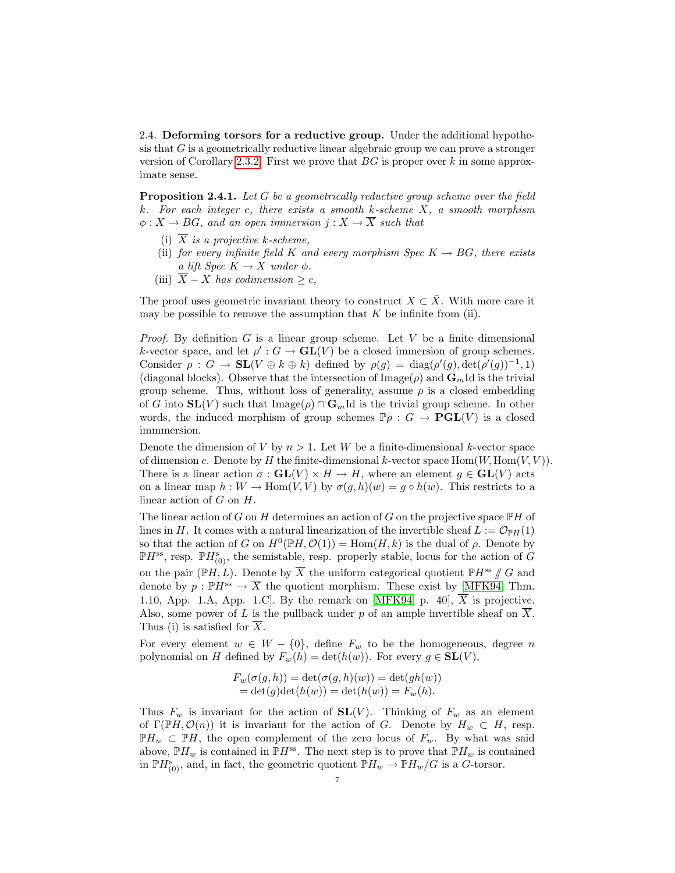2.4. Deforming torsors for a reductive group. Under the additional hypothesis that G is a geometrically reductive linear algebraic group we can prove a stronger version of Corollary [2.3.2.](#page-4-0) First we prove that  $BG$  is proper over k in some approximate sense.

<span id="page-6-0"></span>**Proposition 2.4.1.** Let G be a geometrically reductive group scheme over the field k. For each integer c, there exists a smooth k-scheme  $X$ , a smooth morphism  $\phi: X \to BG$ , and an open immersion  $j: X \to \overline{X}$  such that

- (i)  $\overline{X}$  is a projective k-scheme,
- (ii) for every infinite field K and every morphism Spec  $K \to BG$ , there exists a lift Spec  $K \to X$  under  $\phi$ .
- (iii)  $\overline{X} X$  has codimension > c,

The proof uses geometric invariant theory to construct  $X \subset \overline{X}$ . With more care it may be possible to remove the assumption that  $K$  be infinite from (ii).

*Proof.* By definition G is a linear group scheme. Let V be a finite dimensional k-vector space, and let  $\rho' : G \to GL(V)$  be a closed immersion of group schemes. Consider  $\rho : G \to SL(V \oplus k \oplus k)$  defined by  $\rho(g) = \text{diag}(\rho'(g), \text{det}(\rho'(g))^{-1}, 1)$ (diagonal blocks). Observe that the intersection of  $\text{Image}(\rho)$  and  $\mathbf{G}_m$ Id is the trivial group scheme. Thus, without loss of generality, assume  $\rho$  is a closed embedding of G into  $SL(V)$  such that Image( $\rho$ ) ∩  $\mathbf{G}_m$ Id is the trivial group scheme. In other words, the induced morphism of group schemes  $\mathbb{P}\rho : G \to \mathbf{PGL}(V)$  is a closed immmersion.

Denote the dimension of V by  $n > 1$ . Let W be a finite-dimensional k-vector space of dimension c. Denote by H the finite-dimensional k-vector space  $\text{Hom}(W, \text{Hom}(V, V))$ . There is a linear action  $\sigma : GL(V) \times H \to H$ , where an element  $g \in GL(V)$  acts on a linear map  $h: W \to \text{Hom}(V, V)$  by  $\sigma(q, h)(w) = q \circ h(w)$ . This restricts to a linear action of  $G$  on  $H$ .

The linear action of G on H determines an action of G on the projective space  $\mathbb{P}H$  of lines in H. It comes with a natural linearization of the invertible sheaf  $L := \mathcal{O}_{\mathbb{P}H}(1)$ so that the action of G on  $H^0(\mathbb{P}H,\mathcal{O}(1)) = \text{Hom}(H,k)$  is the dual of  $\rho$ . Denote by  $\mathbb{P}H^{\text{ss}}$ , resp.  $\mathbb{P}H_{(0)}^{\text{s}}$ , the semistable, resp. properly stable, locus for the action of  $G$ on the pair ( $\mathbb{P}H, L$ ). Denote by  $\overline{X}$  the uniform categorical quotient  $\mathbb{P}H^{\text{ss}}$  // G and denote by  $p : \mathbb{P}H^{ss} \to \overline{X}$  the quotient morphism. These exist by [\[MFK94,](#page-16-3) Thm. 1.10, App. 1.A, App. 1.C. By the remark on [\[MFK94,](#page-16-3) p. 40],  $\overline{X}$  is projective. Also, some power of L is the pullback under p of an ample invertible sheaf on  $\overline{X}$ . Thus (i) is satisfied for  $\overline{X}$ .

For every element  $w \in W - \{0\}$ , define  $F_w$  to be the homogeneous, degree n polynomial on H defined by  $F_w(h) = \det(h(w))$ . For every  $g \in SL(V)$ ,

$$
F_w(\sigma(g, h)) = \det(\sigma(g, h)(w)) = \det(gh(w))
$$
  
= 
$$
\det(g)\det(h(w)) = \det(h(w)) = F_w(h).
$$

Thus  $F_w$  is invariant for the action of  $SL(V)$ . Thinking of  $F_w$  as an element of  $\Gamma(\mathbb{P} H, \mathcal{O}(n))$  it is invariant for the action of G. Denote by  $H_w \subset H$ , resp.  $\mathbb{P}H_w \subset \mathbb{P}H$ , the open complement of the zero locus of  $F_w$ . By what was said above,  $\mathbb{P}H_w$  is contained in  $\mathbb{P}H^{ss}$ . The next step is to prove that  $\mathbb{P}H_w$  is contained in  $\mathbb{P}H_{(0)}^s$ , and, in fact, the geometric quotient  $\mathbb{P}H_w \to \mathbb{P}H_w/G$  is a G-torsor.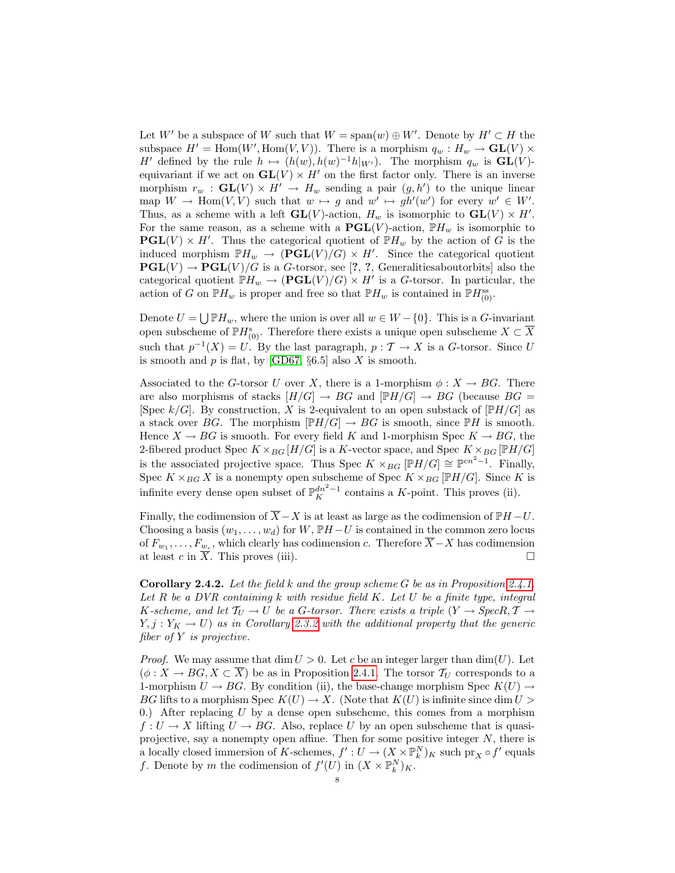Let W' be a subspace of W such that  $W = \text{span}(w) \oplus W'$ . Denote by  $H' \subset H$  the subspace  $H' = \text{Hom}(W', \text{Hom}(V, V))$ . There is a morphism  $q_w : H_w \to \text{GL}(V) \times$ H' defined by the rule  $h \mapsto (h(w), h(w)^{-1}h|_{W'})$ . The morphism  $q_w$  is  $GL(V)$ equivariant if we act on  $GL(V) \times H'$  on the first factor only. There is an inverse morphism  $r_w$ :  $GL(V) \times H' \to H_w$  sending a pair  $(g, h')$  to the unique linear map  $W \to \text{Hom}(V, V)$  such that  $w \mapsto g$  and  $w' \mapsto gh'(w')$  for every  $w' \in W'$ . Thus, as a scheme with a left  $GL(V)$ -action,  $H_w$  is isomorphic to  $GL(V) \times H'$ . For the same reason, as a scheme with a  $\mathbf{PGL}(V)$ -action,  $\mathbb{P}H_w$  is isomorphic to  $\mathbf{PGL}(V) \times H'$ . Thus the categorical quotient of  $\mathbb{P}H_w$  by the action of G is the induced morphism  $\mathbb{P}H_w \to (\mathbf{PGL}(V)/G) \times H'$ . Since the categorical quotient  $\mathbf{PGL}(V) \to \mathbf{PGL}(V)/G$  is a G-torsor, see [?, ?, Generalities about orbits] also the categorical quotient  $\mathbb{P}H_w \to (\mathbf{PGL}(V)/G) \times H'$  is a G-torsor. In particular, the action of G on  $\mathbb{P}H_w$  is proper and free so that  $\mathbb{P}H_w$  is contained in  $\mathbb{P}H_{(0)}^{ss}$ .

Denote  $U = \bigcup \mathbb{P}H_w$ , where the union is over all  $w \in W - \{0\}$ . This is a G-invariant open subscheme of  $\mathbb{P}H_{(0)}^s$ . Therefore there exists a unique open subscheme  $X \subset \overline{X}$ such that  $p^{-1}(X) = U$ . By the last paragraph,  $p : T \to X$  is a G-torsor. Since U is smooth and  $p$  is flat, by [\[GD67,](#page-16-2) §6.5] also  $X$  is smooth.

Associated to the G-torsor U over X, there is a 1-morphism  $\phi: X \to BG$ . There are also morphisms of stacks  $[H/G] \to BG$  and  $[\mathbb{P}H/G] \to BG$  (because  $BG =$ [Spec  $k/G$ ]. By construction, X is 2-equivalent to an open substack of  $\mathbb{P}H/G$ ] as a stack over BG. The morphism  $[PH/G] \to BG$  is smooth, since  $\mathbb{P}H$  is smooth. Hence  $X \to BG$  is smooth. For every field K and 1-morphism Spec  $K \to BG$ , the 2-fibered product Spec  $K \times_{BG} [H/G]$  is a K-vector space, and Spec  $K \times_{BG} [\mathbb{P}H/G]$ is the associated projective space. Thus Spec  $K \times_{BG} [\mathbb{P} H/G] \cong \mathbb{P}^{cn^2-1}$ . Finally, Spec  $K \times_{BG} X$  is a nonempty open subscheme of Spec  $K \times_{BG} [\mathbb{P}H/G]$ . Since K is infinite every dense open subset of  $\mathbb{P}_{K}^{dn^{2}-1}$  contains a K-point. This proves (ii).

Finally, the codimension of  $\overline{X} - X$  is at least as large as the codimension of  $\mathbb{P}H - U$ . Choosing a basis  $(w_1, \ldots, w_d)$  for W,  $\mathbb{P}H-U$  is contained in the common zero locus of  $F_{w_1}, \ldots, F_{w_c}$ , which clearly has codimension c. Therefore  $\overline{X} - X$  has codimension at least c in  $\overline{X}$ . This proves (iii).

<span id="page-7-0"></span>**Corollary 2.4.2.** Let the field k and the group scheme G be as in Proposition [2.4.1.](#page-6-0) Let  $R$  be a DVR containing  $k$  with residue field  $K$ . Let  $U$  be a finite type, integral K-scheme, and let  $T_U \to U$  be a G-torsor. There exists a triple  $(Y \to \text{Spec} R, \mathcal{T} \to \mathcal{T})$  $Y, j: Y_K \to U$  as in Corollary [2.3.2](#page-4-0) with the additional property that the generic fiber of Y is projective.

*Proof.* We may assume that dim  $U > 0$ . Let c be an integer larger than dim(U). Let  $(\phi: X \to BG, X \subset \overline{X})$  be as in Proposition [2.4.1.](#page-6-0) The torsor  $\mathcal{T}_U$  corresponds to a 1-morphism  $U \to BG$ . By condition (ii), the base-change morphism Spec  $K(U) \to$ BG lifts to a morphism Spec  $K(U) \to X$ . (Note that  $K(U)$  is infinite since dim  $U >$ 0.) After replacing U by a dense open subscheme, this comes from a morphism  $f: U \to X$  lifting  $U \to BG$ . Also, replace U by an open subscheme that is quasiprojective, say a nonempty open affine. Then for some positive integer  $N$ , there is a locally closed immersion of K-schemes,  $f': U \to (X \times \mathbb{P}_k^N)_K$  such  $\text{pr}_X \circ f'$  equals f. Denote by m the codimension of  $f'(U)$  in  $(X \times \mathbb{P}_k^N)_K$ .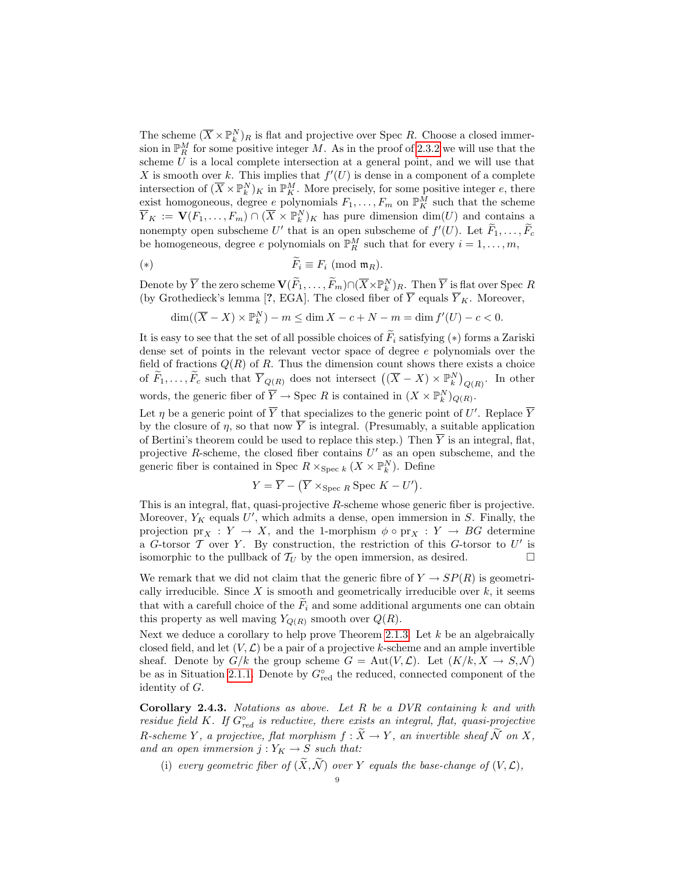The scheme  $(\overline{X} \times \mathbb{P}_{k}^{N})_{R}$  is flat and projective over Spec R. Choose a closed immersion in  $\mathbb{P}_R^M$  for some positive integer M. As in the proof of [2.3.2](#page-4-0) we will use that the scheme  $U$  is a local complete intersection at a general point, and we will use that X is smooth over k. This implies that  $f'(U)$  is dense in a component of a complete intersection of  $(\overline{X} \times \mathbb{P}_k^N)_K$  in  $\mathbb{P}_K^M$ . More precisely, for some positive integer e, there exist homogoneous, degree e polynomials  $F_1, \ldots, F_m$  on  $\mathbb{P}^M_K$  such that the scheme  $\overline{Y}_K := \mathbf{V}(F_1,\ldots,F_m) \cap (\overline{X} \times \mathbb{P}_k^N)_K$  has pure dimension  $\dim(U)$  and contains a nonempty open subscheme U' that is an open subscheme of  $f'(U)$ . Let  $\widetilde{F}_1, \ldots, \widetilde{F}_c$ be homogeneous, degree e polynomials on  $\mathbb{P}_R^M$  such that for every  $i = 1, ..., m$ ,

$$
(*)\qquad \qquad \overline{F_i} \equiv F_i \; (\text{mod } \mathfrak{m}_R).
$$

Denote by  $\overline{Y}$  the zero scheme  $\mathbf{V}(\widetilde{F}_1, \ldots, \widetilde{F}_m) \cap (\overline{X} \times \mathbb{P}_k^N)_R$ . Then  $\overline{Y}$  is flat over Spec R (by Grothedieck's lemma [?, EGA]. The closed fiber of  $\overline{Y}$  equals  $\overline{Y}_K$ . Moreover,

$$
\dim((\overline{X} - X) \times \mathbb{P}_k^N) - m \le \dim X - c + N - m = \dim f'(U) - c < 0.
$$

It is easy to see that the set of all possible choices of  $\widetilde{F}_i$  satisfying (\*) forms a Zariski dense set of points in the relevant vector space of degree e polynomials over the field of fractions  $Q(R)$  of R. Thus the dimension count shows there exists a choice of  $\widetilde{F}_1, \ldots, \widetilde{F}_c$  such that  $\overline{Y}_{Q(R)}$  does not intersect  $((\overline{X} - X) \times \mathbb{P}_k^N)_{Q(R)}$ . In other words, the generic fiber of  $\overline{Y} \to \text{Spec } R$  is contained in  $(X \times \mathbb{P}_k^N)_{Q(R)}$ .

Let  $\eta$  be a generic point of  $\overline{Y}$  that specializes to the generic point of U'. Replace  $\overline{Y}$ by the closure of  $\eta$ , so that now  $\overline{Y}$  is integral. (Presumably, a suitable application of Bertini's theorem could be used to replace this step.) Then  $\overline{Y}$  is an integral, flat, projective  $R$ -scheme, the closed fiber contains  $U'$  as an open subscheme, and the generic fiber is contained in Spec  $R \times_{\text{Spec } k} (X \times \mathbb{P}_k^N)$ . Define

$$
Y = \overline{Y} - (\overline{Y} \times_{\text{Spec } R} \text{Spec } K - U').
$$

This is an integral, flat, quasi-projective  $R$ -scheme whose generic fiber is projective. Moreover,  $Y_K$  equals U', which admits a dense, open immersion in S. Finally, the projection  $\text{pr}_X : Y \to X$ , and the 1-morphism  $\phi \circ \text{pr}_X : Y \to BG$  determine a G-torsor  $\mathcal T$  over Y. By construction, the restriction of this G-torsor to  $U'$  is isomorphic to the pullback of  $\mathcal{T}_U$  by the open immersion, as desired.

We remark that we did not claim that the generic fibre of  $Y \to SP(R)$  is geometrically irreducible. Since  $X$  is smooth and geometrically irreducible over  $k$ , it seems that with a carefull choice of the  $\ddot{F}_i$  and some additional arguments one can obtain this property as well maving  $Y_{O(R)}$  smooth over  $Q(R)$ .

Next we deduce a corollary to help prove Theorem [2.1.3.](#page-1-0) Let  $k$  be an algebraically closed field, and let  $(V, \mathcal{L})$  be a pair of a projective k-scheme and an ample invertible sheaf. Denote by  $G/k$  the group scheme  $G = Aut(V, \mathcal{L})$ . Let  $(K/k, X \to S, \mathcal{N})$ be as in Situation [2.1.1.](#page-1-1) Denote by  $G^{\circ}_{red}$  the reduced, connected component of the identity of G.

<span id="page-8-0"></span>Corollary 2.4.3. Notations as above. Let R be a DVR containing  $k$  and with residue field K. If  $G_{red}^{\circ}$  is reductive, there exists an integral, flat, quasi-projective R-scheme Y, a projective, flat morphism  $f : \widetilde{X} \to Y$ , an invertible sheaf  $\widetilde{\mathcal{N}}$  on X, and an open immersion  $j: Y_K \to S$  such that:

(i) every geometric fiber of  $(\widetilde{X}, \widetilde{\mathcal{N}})$  over Y equals the base-change of  $(V, \mathcal{L})$ .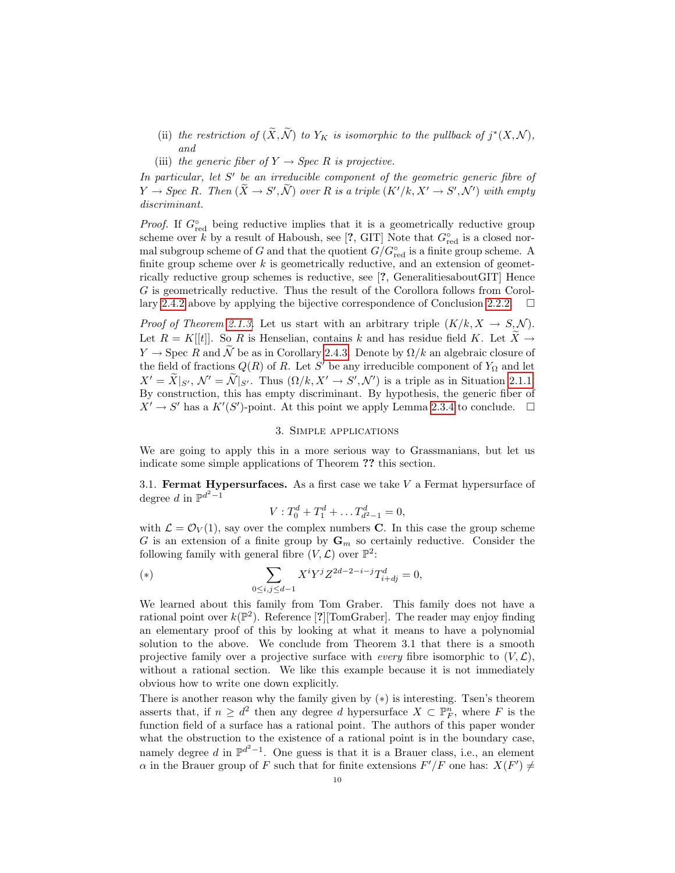- (ii) the restriction of  $(\widetilde{X}, \widetilde{\mathcal{N}})$  to  $Y_K$  is isomorphic to the pullback of  $j^*(X, \mathcal{N})$ , and
- (iii) the generic fiber of  $Y \rightarrow Spec R$  is projective.

In particular, let  $S'$  be an irreducible component of the geometric generic fibre of  $Y \to \text{Spec } R$ . Then  $(\widetilde{X} \to S', \widetilde{\mathcal{N}})$  over R is a triple  $(K'/k, X' \to S', \mathcal{N}')$  with empty discriminant.

*Proof.* If  $G_{\text{red}}^{\circ}$  being reductive implies that it is a geometrically reductive group scheme over k by a result of Haboush, see [?, GIT] Note that  $G_{\text{red}}^{\circ}$  is a closed normal subgroup scheme of G and that the quotient  $G/G^{\circ}_{red}$  is a finite group scheme. A finite group scheme over  $k$  is geometrically reductive, and an extension of geometrically reductive group schemes is reductive, see [?, GeneralitiesaboutGIT] Hence G is geometrically reductive. Thus the result of the Corollora follows from Corol-lary [2.4.2](#page-7-0) above by applying the bijective correspondence of Conclusion [2.2.2.](#page-3-1)  $\Box$ 

*Proof of Theorem [2.1.3.](#page-1-0)* Let us start with an arbitrary triple  $(K/k, X \rightarrow S, N)$ . Let  $R = K[[t]]$ . So R is Henselian, contains k and has residue field K. Let  $\widetilde{X} \to$  $Y \to \text{Spec } R$  and  $\widetilde{\mathcal{N}}$  be as in Corollary [2.4.3.](#page-8-0) Denote by  $\Omega/k$  an algebraic closure of the field of fractions  $Q(R)$  of R. Let S' be any irreducible component of  $Y_{\Omega}$  and let  $X' = \widetilde{X}|_{S'}, \mathcal{N}' = \widetilde{\mathcal{N}}|_{S'}$ . Thus  $(\Omega/k, X' \to S', \mathcal{N}')$  is a triple as in Situation [2.1.1.](#page-1-1) By construction, this has empty discriminant. By hypothesis, the generic fiber of  $X' \to S'$  has a  $K'(S')$ -point. At this point we apply Lemma [2.3.4](#page-5-0) to conclude.  $\square$ 

## 3. Simple applications

We are going to apply this in a more serious way to Grassmanians, but let us indicate some simple applications of Theorem ?? this section.

3.1. Fermat Hypersurfaces. As a first case we take  $V$  a Fermat hypersurface of degree d in  $\mathbb{P}^{d^2-1}$ 

$$
V: T_0^d + T_1^d + \dots T_{d^2 - 1}^d = 0,
$$

with  $\mathcal{L} = \mathcal{O}_V(1)$ , say over the complex numbers **C**. In this case the group scheme G is an extension of a finite group by  $\mathbf{G}_m$  so certainly reductive. Consider the following family with general fibre  $(V, \mathcal{L})$  over  $\mathbb{P}^2$ :

(\*) 
$$
\sum_{0 \le i,j \le d-1} X^i Y^j Z^{2d-2-i-j} T_{i+dj}^d = 0,
$$

We learned about this family from Tom Graber. This family does not have a rational point over  $k(\mathbb{P}^2)$ . Reference [?][TomGraber]. The reader may enjoy finding an elementary proof of this by looking at what it means to have a polynomial solution to the above. We conclude from Theorem 3.1 that there is a smooth projective family over a projective surface with *every* fibre isomorphic to  $(V, \mathcal{L})$ , without a rational section. We like this example because it is not immediately obvious how to write one down explicitly.

There is another reason why the family given by  $(*)$  is interesting. Tsen's theorem asserts that, if  $n \geq d^2$  then any degree d hypersurface  $X \subset \mathbb{P}_F^n$ , where F is the function field of a surface has a rational point. The authors of this paper wonder what the obstruction to the existence of a rational point is in the boundary case, namely degree d in  $\mathbb{P}^{d^2-1}$ . One guess is that it is a Brauer class, i.e., an element  $\alpha$  in the Brauer group of F such that for finite extensions  $F'/F$  one has:  $X(F') \neq$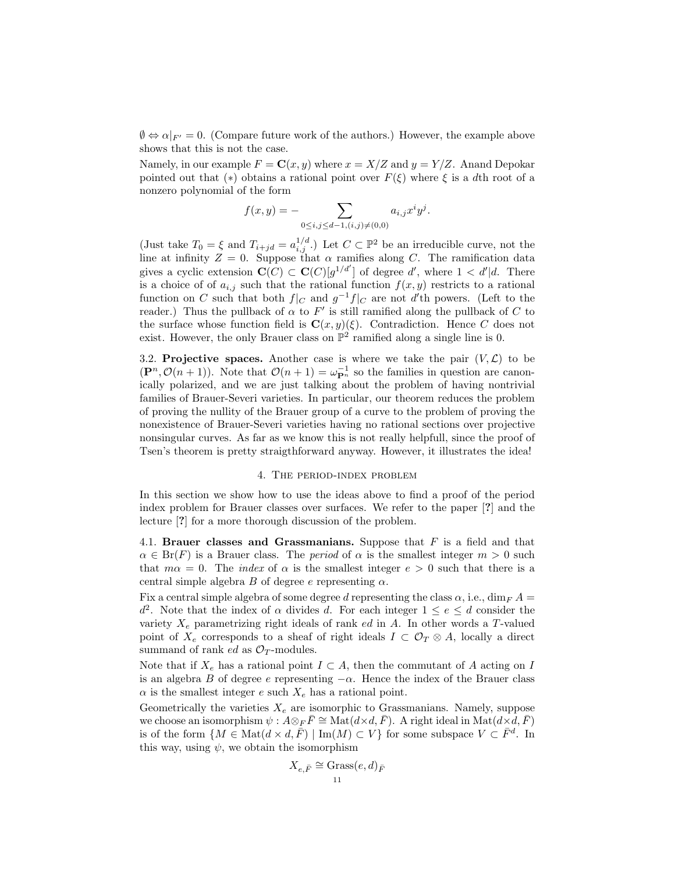$\emptyset \Leftrightarrow \alpha|_{F'} = 0$ . (Compare future work of the authors.) However, the example above shows that this is not the case.

Namely, in our example  $F = \mathbf{C}(x, y)$  where  $x = X/Z$  and  $y = Y/Z$ . Anand Depokar pointed out that (\*) obtains a rational point over  $F(\xi)$  where  $\xi$  is a dth root of a nonzero polynomial of the form

$$
f(x,y) = -\sum_{0 \le i,j \le d-1, (i,j) \neq (0,0)} a_{i,j} x^i y^j.
$$

(Just take  $T_0 = \xi$  and  $T_{i+jd} = a_{i,j}^{1/d}$ .) Let  $C \subset \mathbb{P}^2$  be an irreducible curve, not the line at infinity  $Z = 0$ . Suppose that  $\alpha$  ramifies along C. The ramification data gives a cyclic extension  $\mathbf{C}(C) \subset \mathbf{C}(C)[g^{1/d'}]$  of degree d', where  $1 < d'|d$ . There is a choice of of  $a_{i,j}$  such that the rational function  $f(x, y)$  restricts to a rational function on C such that both  $f|_C$  and  $g^{-1}f|_C$  are not d'th powers. (Left to the reader.) Thus the pullback of  $\alpha$  to  $F'$  is still ramified along the pullback of C to the surface whose function field is  $\mathbf{C}(x, y)(\xi)$ . Contradiction. Hence C does not exist. However, the only Brauer class on  $\mathbb{P}^2$  ramified along a single line is 0.

3.2. **Projective spaces.** Another case is where we take the pair  $(V, \mathcal{L})$  to be  $(\mathbf{P}^n, \mathcal{O}(n+1))$ . Note that  $\mathcal{O}(n+1) = \omega_{\mathbf{P}^n}^{-1}$  so the families in question are canonically polarized, and we are just talking about the problem of having nontrivial families of Brauer-Severi varieties. In particular, our theorem reduces the problem of proving the nullity of the Brauer group of a curve to the problem of proving the nonexistence of Brauer-Severi varieties having no rational sections over projective nonsingular curves. As far as we know this is not really helpfull, since the proof of Tsen's theorem is pretty straigthforward anyway. However, it illustrates the idea!

#### 4. The period-index problem

In this section we show how to use the ideas above to find a proof of the period index problem for Brauer classes over surfaces. We refer to the paper [?] and the lecture [?] for a more thorough discussion of the problem.

4.1. Brauer classes and Grassmanians. Suppose that  $F$  is a field and that  $\alpha \in \text{Br}(F)$  is a Brauer class. The *period* of  $\alpha$  is the smallest integer  $m > 0$  such that  $m\alpha = 0$ . The *index* of  $\alpha$  is the smallest integer  $e > 0$  such that there is a central simple algebra B of degree e representing  $\alpha$ .

Fix a central simple algebra of some degree d representing the class  $\alpha$ , i.e., dim<sub>F</sub> A =  $d^2$ . Note that the index of  $\alpha$  divides d. For each integer  $1 \le e \le d$  consider the variety  $X_e$  parametrizing right ideals of rank  $ed$  in  $A$ . In other words a T-valued point of  $X_e$  corresponds to a sheaf of right ideals  $I \subset \mathcal{O}_T \otimes A$ , locally a direct summand of rank  $ed$  as  $\mathcal{O}_T$ -modules.

Note that if  $X_e$  has a rational point  $I \subset A$ , then the commutant of A acting on I is an algebra B of degree e representing  $-\alpha$ . Hence the index of the Brauer class  $\alpha$  is the smallest integer e such  $X_e$  has a rational point.

Geometrically the varieties  $X_e$  are isomorphic to Grassmanians. Namely, suppose we choose an isomorphism  $\psi : A \otimes_F \overline{F} \cong \text{Mat}(d \times d, \overline{F})$ . A right ideal in  $\text{Mat}(d \times d, \overline{F})$ is of the form  $\{M \in \text{Mat}(d \times d, \overline{F}) \mid \text{Im}(M) \subset V\}$  for some subspace  $V \subset \overline{F}^d$ . In this way, using  $\psi$ , we obtain the isomorphism

$$
X_{e,\bar{F}} \cong \operatorname{Grass}(e,d)_{\bar{F}}
$$
  
11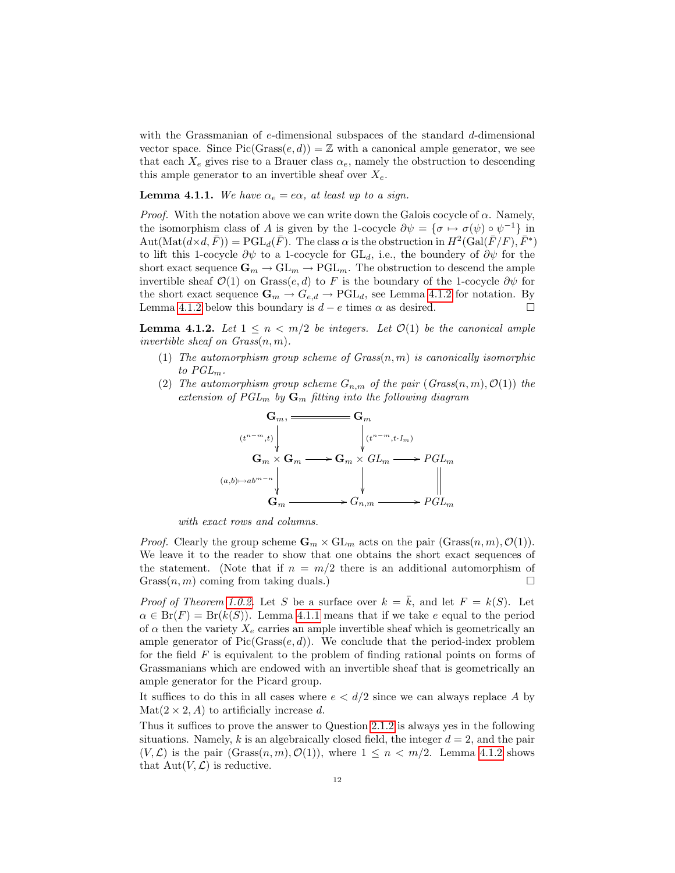with the Grassmanian of  $e$ -dimensional subspaces of the standard  $d$ -dimensional vector space. Since  $Pic(Grass(e, d)) = \mathbb{Z}$  with a canonical ample generator, we see that each  $X_e$  gives rise to a Brauer class  $\alpha_e$ , namely the obstruction to descending this ample generator to an invertible sheaf over  $X_e$ .

<span id="page-11-1"></span>**Lemma 4.1.1.** We have  $\alpha_e = e\alpha$ , at least up to a sign.

*Proof.* With the notation above we can write down the Galois cocycle of  $\alpha$ . Namely, the isomorphism class of A is given by the 1-cocycle  $\partial \psi = {\sigma \mapsto \sigma(\psi) \circ \psi^{-1}}$  in  $\mathrm{Aut}(\mathrm{Mat}(d\times d, \bar{F})) = \mathrm{PGL}_d(\bar{F})$ . The class  $\alpha$  is the obstruction in  $H^2(\mathrm{Gal}(\bar{F}/F), \bar{F}^*)$ to lift this 1-cocycle  $\partial \psi$  to a 1-cocycle for GL<sub>d</sub>, i.e., the boundery of  $\partial \psi$  for the short exact sequence  $\mathbf{G}_m \to \mathrm{GL}_m \to \mathrm{PGL}_m$ . The obstruction to descend the ample invertible sheaf  $\mathcal{O}(1)$  on Grass $(e, d)$  to F is the boundary of the 1-cocycle  $\partial \psi$  for the short exact sequence  $\mathbf{G}_m \to G_{e,d} \to \text{PGL}_d$ , see Lemma [4.1.2](#page-11-0) for notation. By Lemma [4.1.2](#page-11-0) below this boundary is  $d - e$  times  $\alpha$  as desired.

<span id="page-11-0"></span>**Lemma 4.1.2.** Let  $1 \leq n \leq m/2$  be integers. Let  $\mathcal{O}(1)$  be the canonical ample invertible sheaf on  $Grass(n, m)$ .

- (1) The automorphism group scheme of  $Grass(n, m)$  is canonically isomorphic to  $PGL_m$ .
- (2) The automorphism group scheme  $G_{n,m}$  of the pair  $(Grass(n, m), \mathcal{O}(1))$  the extension of  $PGL_m$  by  $\mathbf{G}_m$  fitting into the following diagram



with exact rows and columns.

*Proof.* Clearly the group scheme  $\mathbf{G}_m \times \mathrm{GL}_m$  acts on the pair  $(\text{Grass}(n, m), \mathcal{O}(1)).$ We leave it to the reader to show that one obtains the short exact sequences of the statement. (Note that if  $n = m/2$  there is an additional automorphism of Grass $(n, m)$  coming from taking duals.)

*Proof of Theorem [1.0.2.](#page-0-0)* Let S be a surface over  $k = \overline{k}$ , and let  $F = k(S)$ . Let  $\alpha \in Br(F) = Br(k(S))$ . Lemma [4.1.1](#page-11-1) means that if we take e equal to the period of  $\alpha$  then the variety  $X_e$  carries an ample invertible sheaf which is geometrically an ample generator of  $Pic(Grass(e, d))$ . We conclude that the period-index problem for the field  $F$  is equivalent to the problem of finding rational points on forms of Grassmanians which are endowed with an invertible sheaf that is geometrically an ample generator for the Picard group.

It suffices to do this in all cases where  $e < d/2$  since we can always replace A by  $\text{Mat}(2 \times 2, A)$  to artificially increase d.

Thus it suffices to prove the answer to Question [2.1.2](#page-1-2) is always yes in the following situations. Namely, k is an algebraically closed field, the integer  $d = 2$ , and the pair  $(V, \mathcal{L})$  is the pair  $(Grass(n, m), \mathcal{O}(1))$ , where  $1 \leq n \leq m/2$ . Lemma [4.1.2](#page-11-0) shows that  $Aut(V, \mathcal{L})$  is reductive.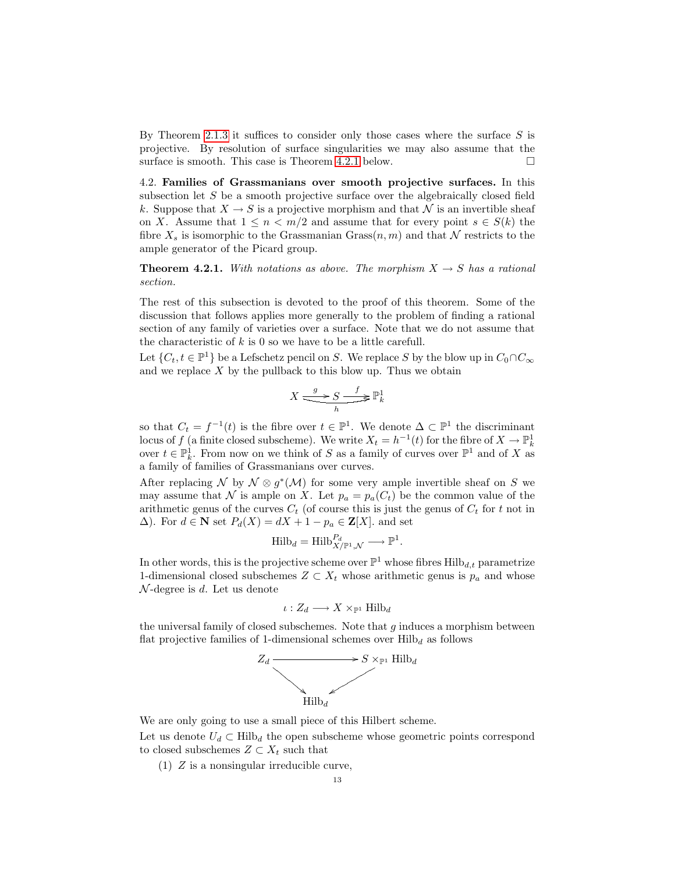By Theorem [2.1.3](#page-1-0) it suffices to consider only those cases where the surface  $S$  is projective. By resolution of surface singularities we may also assume that the surface is smooth. This case is Theorem [4.2.1](#page-12-0) below.  $\square$ 

4.2. Families of Grassmanians over smooth projective surfaces. In this subsection let  $S$  be a smooth projective surface over the algebraically closed field k. Suppose that  $X \to S$  is a projective morphism and that N is an invertible sheaf on X. Assume that  $1 \leq n < m/2$  and assume that for every point  $s \in S(k)$  the fibre  $X_s$  is isomorphic to the Grassmanian Grass $(n, m)$  and that N restricts to the ample generator of the Picard group.

<span id="page-12-0"></span>**Theorem 4.2.1.** With notations as above. The morphism  $X \to S$  has a rational section.

The rest of this subsection is devoted to the proof of this theorem. Some of the discussion that follows applies more generally to the problem of finding a rational section of any family of varieties over a surface. Note that we do not assume that the characteristic of  $k$  is 0 so we have to be a little carefull.

Let  $\{C_t, t \in \mathbb{P}^1\}$  be a Lefschetz pencil on S. We replace S by the blow up in  $C_0 \cap C_{\infty}$ and we replace  $X$  by the pullback to this blow up. Thus we obtain

$$
X \xrightarrow{\quad g \quad} S \xrightarrow{\quad f \quad} \mathbb{P}^1_k
$$

so that  $C_t = f^{-1}(t)$  is the fibre over  $t \in \mathbb{P}^1$ . We denote  $\Delta \subset \mathbb{P}^1$  the discriminant locus of f (a finite closed subscheme). We write  $X_t = h^{-1}(t)$  for the fibre of  $X \to \mathbb{P}^1_k$ over  $t \in \mathbb{P}_k^1$ . From now on we think of S as a family of curves over  $\mathbb{P}^1$  and of X as a family of families of Grassmanians over curves.

After replacing N by  $\mathcal{N} \otimes g^*(\mathcal{M})$  for some very ample invertible sheaf on S we may assume that N is ample on X. Let  $p_a = p_a(C_t)$  be the common value of the arithmetic genus of the curves  $C_t$  (of course this is just the genus of  $C_t$  for t not in  $\Delta$ ). For  $d \in \mathbf{N}$  set  $P_d(X) = dX + 1 - p_a \in \mathbf{Z}[X]$ . and set

$$
Hilb_d = Hilb_{X/\mathbb{P}^1, \mathcal{N}}^{P_d} \longrightarrow \mathbb{P}^1.
$$

In other words, this is the projective scheme over  $\mathbb{P}^1$  whose fibres  $\text{Hilb}_{d,t}$  parametrize 1-dimensional closed subschemes  $Z \subset X_t$  whose arithmetic genus is  $p_a$  and whose  $\mathcal{N}$ -degree is d. Let us denote

$$
\iota: Z_d \longrightarrow X \times_{\mathbb{P}^1} \mathrm{Hilb}_d
$$

the universal family of closed subschemes. Note that  $g$  induces a morphism between flat projective families of 1-dimensional schemes over  $Hilb<sub>d</sub>$  as follows



We are only going to use a small piece of this Hilbert scheme.

Let us denote  $U_d \subset Hilb_d$  the open subscheme whose geometric points correspond to closed subschemes  $Z \subset X_t$  such that

(1) Z is a nonsingular irreducible curve,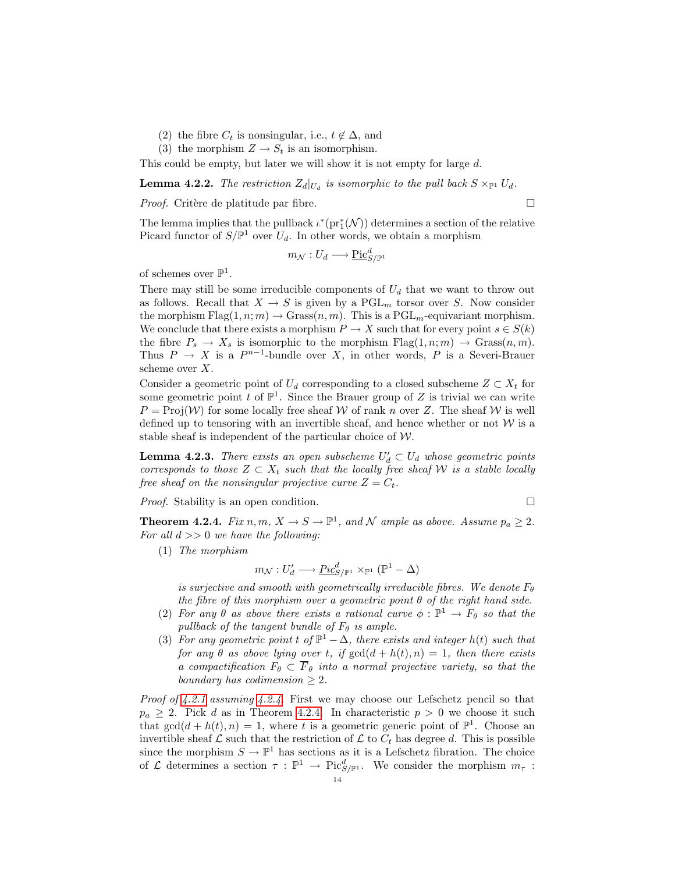- (2) the fibre  $C_t$  is nonsingular, i.e.,  $t \notin \Delta$ , and
- (3) the morphism  $Z \to S_t$  is an isomorphism.

This could be empty, but later we will show it is not empty for large d.

<span id="page-13-1"></span>**Lemma 4.2.2.** The restriction  $Z_d|_{U_d}$  is isomorphic to the pull back  $S \times_{\mathbb{P}^1} U_d$ .

*Proof.* Critère de platitude par fibre.  $\square$ 

The lemma implies that the pullback  $\iota^*(pr_1^*(\mathcal{N}))$  determines a section of the relative Picard functor of  $S/\mathbb{P}^1$  over  $U_d$ . In other words, we obtain a morphism

$$
m_{\mathcal{N}}: U_d \longrightarrow \underline{\mathrm{Pic}}_{S/\mathbb{P}^1}^d
$$

of schemes over  $\mathbb{P}^1$ .

There may still be some irreducible components of  $U_d$  that we want to throw out as follows. Recall that  $X \to S$  is given by a  $PGL_m$  torsor over S. Now consider the morphism  $Flag(1, n; m) \rightarrow Grass(n, m)$ . This is a  $PGL<sub>m</sub>$ -equivariant morphism. We conclude that there exists a morphism  $P \to X$  such that for every point  $s \in S(k)$ the fibre  $P_s \to X_s$  is isomorphic to the morphism  $Flag(1, n; m) \to Grass(n, m)$ . Thus  $P \to X$  is a  $P^{n-1}$ -bundle over X, in other words, P is a Severi-Brauer scheme over X.

Consider a geometric point of  $U_d$  corresponding to a closed subscheme  $Z \subset X_t$  for some geometric point t of  $\mathbb{P}^1$ . Since the Brauer group of Z is trivial we can write  $P = \text{Proj}(\mathcal{W})$  for some locally free sheaf W of rank n over Z. The sheaf W is well defined up to tensoring with an invertible sheaf, and hence whether or not  $W$  is a stable sheaf is independent of the particular choice of  $W$ .

<span id="page-13-2"></span>**Lemma 4.2.3.** There exists an open subscheme  $U'_d \subset U_d$  whose geometric points corresponds to those  $Z \subset X_t$  such that the locally free sheaf W is a stable locally free sheaf on the nonsingular projective curve  $Z = C_t$ .

*Proof.* Stability is an open condition. □

<span id="page-13-0"></span>**Theorem 4.2.4.** Fix  $n, m, X \to S \to \mathbb{P}^1$ , and N ample as above. Assume  $p_a \geq 2$ . For all  $d \gg 0$  we have the following:

(1) The morphism

$$
m_{\mathcal{N}}: U'_d \longrightarrow \underline{Pic}^d_{S/\mathbb{P}^1} \times_{\mathbb{P}^1} (\mathbb{P}^1 - \Delta)
$$

is surjective and smooth with geometrically irreducible fibres. We denote  $F_{\theta}$ the fibre of this morphism over a geometric point  $\theta$  of the right hand side.

- (2) For any  $\theta$  as above there exists a rational curve  $\phi : \mathbb{P}^1 \to F_{\theta}$  so that the pullback of the tangent bundle of  $F_{\theta}$  is ample.
- (3) For any geometric point t of  $\mathbb{P}^1 \Delta$ , there exists and integer  $h(t)$  such that for any  $\theta$  as above lying over t, if  $gcd(d + h(t), n) = 1$ , then there exists a compactification  $F_{\theta} \subset \overline{F}_{\theta}$  into a normal projective variety, so that the boundary has codimension  $\geq 2$ .

*Proof of [4.2.1](#page-12-0) assuming [4.2.4.](#page-13-0)* First we may choose our Lefschetz pencil so that  $p_a \geq 2$ . Pick d as in Theorem [4.2.4.](#page-13-0) In characteristic  $p > 0$  we choose it such that  $gcd(d + h(t), n) = 1$ , where t is a geometric generic point of  $\mathbb{P}^1$ . Choose an invertible sheaf  $\mathcal L$  such that the restriction of  $\mathcal L$  to  $C_t$  has degree d. This is possible since the morphism  $S \to \mathbb{P}^1$  has sections as it is a Lefschetz fibration. The choice of  $\mathcal L$  determines a section  $\tau : \mathbb{P}^1 \to \text{Pic}^d_{S/\mathbb{P}^1}$ . We consider the morphism  $m_\tau$ :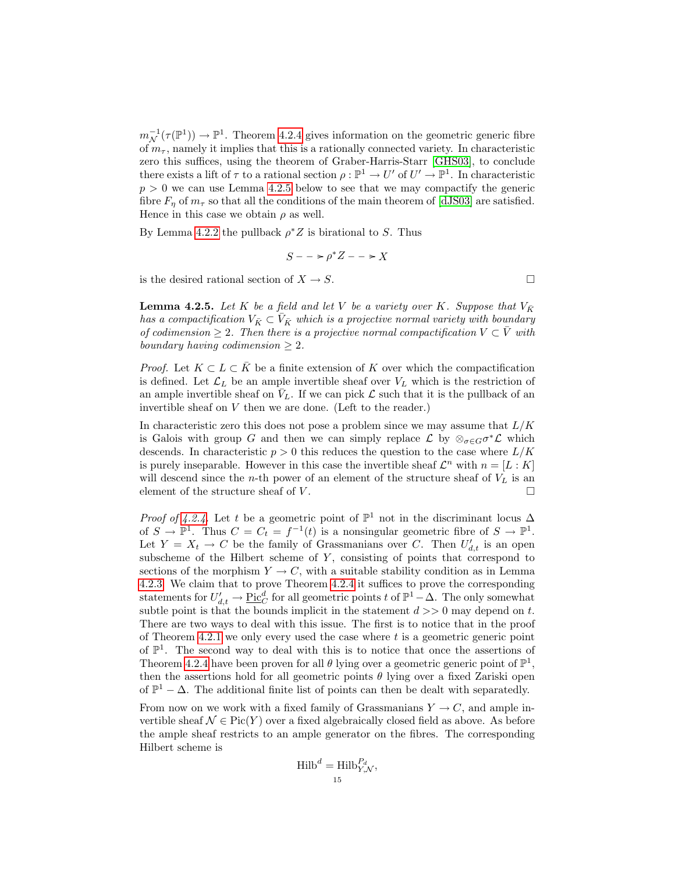$m_{\mathcal{N}}^{-1}(\tau(\mathbb{P}^1)) \to \mathbb{P}^1$ . Theorem [4.2.4](#page-13-0) gives information on the geometric generic fibre of  $m_{\tau}$ , namely it implies that this is a rationally connected variety. In characteristic zero this suffices, using the theorem of Graber-Harris-Starr [\[GHS03\]](#page-16-4), to conclude there exists a lift of  $\tau$  to a rational section  $\rho : \mathbb{P}^1 \to U'$  of  $U' \to \mathbb{P}^1$ . In characteristic  $p > 0$  we can use Lemma [4.2.5](#page-14-0) below to see that we may compactify the generic fibre  $F_n$  of  $m_\tau$  so that all the conditions of the main theorem of [\[dJS03\]](#page-16-5) are satisfied. Hence in this case we obtain  $\rho$  as well.

By Lemma [4.2.2](#page-13-1) the pullback  $\rho^* Z$  is birational to S. Thus

$$
S -- \ge \rho^* Z -- \ge X
$$

is the desired rational section of  $X \to S$ .

<span id="page-14-0"></span>**Lemma 4.2.5.** Let K be a field and let V be a variety over K. Suppose that  $V_{\bar{K}}$ has a compactification  $V_{\bar{K}} \subset V_{\bar{K}}$  which is a projective normal variety with boundary of codimension  $\geq 2$ . Then there is a projective normal compactification  $V \subset \overline{V}$  with boundary having codimension  $\geq 2$ .

*Proof.* Let  $K \subset L \subset K$  be a finite extension of K over which the compactification is defined. Let  $\mathcal{L}_L$  be an ample invertible sheaf over  $V_L$  which is the restriction of an ample invertible sheaf on  $\bar{V}_L$ . If we can pick  $\mathcal L$  such that it is the pullback of an invertible sheaf on V then we are done. (Left to the reader.)

In characteristic zero this does not pose a problem since we may assume that  $L/K$ is Galois with group G and then we can simply replace  $\mathcal L$  by  $\otimes_{\sigma \in G} \sigma^* \mathcal L$  which descends. In characteristic  $p > 0$  this reduces the question to the case where  $L/K$ is purely inseparable. However in this case the invertible sheaf  $\mathcal{L}^n$  with  $n = [L : K]$ will descend since the *n*-th power of an element of the structure sheaf of  $V_L$  is an element of the structure sheaf of  $V$ .

*Proof of [4.2.4.](#page-13-0)* Let t be a geometric point of  $\mathbb{P}^1$  not in the discriminant locus  $\Delta$ of  $S \to \mathbb{P}^1$ . Thus  $C = C_t = f^{-1}(t)$  is a nonsingular geometric fibre of  $S \to \mathbb{P}^1$ . Let  $Y = X_t \to C$  be the family of Grassmanians over C. Then  $U'_{d,t}$  is an open subscheme of the Hilbert scheme of  $Y$ , consisting of points that correspond to sections of the morphism  $Y \to C$ , with a suitable stability condition as in Lemma [4.2.3.](#page-13-2) We claim that to prove Theorem [4.2.4](#page-13-0) it suffices to prove the corresponding statements for  $U'_{d,t} \to \underline{\text{Pic}}_C^d$  for all geometric points t of  $\mathbb{P}^1 - \Delta$ . The only somewhat subtle point is that the bounds implicit in the statement  $d \geq 0$  may depend on t. There are two ways to deal with this issue. The first is to notice that in the proof of Theorem [4.2.1](#page-12-0) we only every used the case where  $t$  is a geometric generic point of  $\mathbb{P}^1$ . The second way to deal with this is to notice that once the assertions of Theorem [4.2.4](#page-13-0) have been proven for all  $\theta$  lying over a geometric generic point of  $\mathbb{P}^1$ , then the assertions hold for all geometric points  $\theta$  lying over a fixed Zariski open of  $\mathbb{P}^1 - \Delta$ . The additional finite list of points can then be dealt with separatedly. From now on we work with a fixed family of Grassmanians  $Y \to C$ , and ample invertible sheaf  $\mathcal{N} \in \text{Pic}(Y)$  over a fixed algebraically closed field as above. As before

the ample sheaf restricts to an ample generator on the fibres. The corresponding Hilbert scheme is

$$
\text{Hilb}^d = \text{Hilb}_{Y,\mathcal{N}}^{P_d},
$$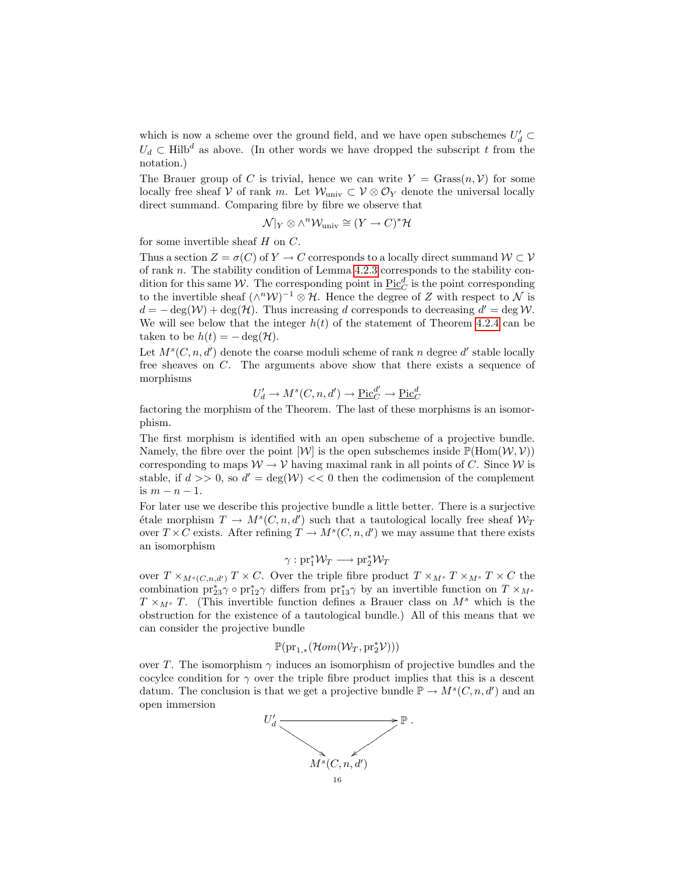which is now a scheme over the ground field, and we have open subschemes  $U'_d \subset$  $U_d \subset \text{Hilb}^d$  as above. (In other words we have dropped the subscript t from the notation.)

The Brauer group of C is trivial, hence we can write  $Y = \text{Grass}(n, V)$  for some locally free sheaf V of rank m. Let  $\mathcal{W}_{\text{univ}} \subset \mathcal{V} \otimes \mathcal{O}_Y$  denote the universal locally direct summand. Comparing fibre by fibre we observe that

$$
\mathcal{N}|_Y \otimes \wedge^n \mathcal{W}_{\text{univ}} \cong (Y \to C)^* \mathcal{H}
$$

for some invertible sheaf  $H$  on  $C$ .

Thus a section  $Z = \sigma(C)$  of  $Y \to C$  corresponds to a locally direct summand  $W \subset V$ of rank n. The stability condition of Lemma [4.2.3](#page-13-2) corresponds to the stability condition for this same W. The corresponding point in  $\underline{\mathrm{Pic}}_C^d$  is the point corresponding to the invertible sheaf  $(\wedge^n W)^{-1} \otimes \mathcal{H}$ . Hence the degree of Z with respect to N is  $d = -\deg(\mathcal{W}) + \deg(\mathcal{H})$ . Thus increasing d corresponds to decreasing  $d' = \deg \mathcal{W}$ . We will see below that the integer  $h(t)$  of the statement of Theorem [4.2.4](#page-13-0) can be taken to be  $h(t) = -\deg(\mathcal{H})$ .

Let  $M<sup>s</sup>(C, n, d')$  denote the coarse moduli scheme of rank n degree d' stable locally free sheaves on C. The arguments above show that there exists a sequence of morphisms

$$
U'_d \to M^s(C, n, d') \to \underline{\mathrm{Pic}}_C^{d'} \to \underline{\mathrm{Pic}}_C^d
$$

factoring the morphism of the Theorem. The last of these morphisms is an isomorphism.

The first morphism is identified with an open subscheme of a projective bundle. Namely, the fibre over the point  $[\mathcal{W}]$  is the open subschemes inside  $\mathbb{P}(\text{Hom}(\mathcal{W}, \mathcal{V}))$ corresponding to maps  $W \to V$  having maximal rank in all points of C. Since W is stable, if  $d \gg 0$ , so  $d' = \deg(\mathcal{W}) \ll 0$  then the codimension of the complement is  $m - n - 1$ .

For later use we describe this projective bundle a little better. There is a surjective etale morphism  $T \to M^s(C, n, d')$  such that a tautological locally free sheaf  $\mathcal{W}_T$ over  $T \times C$  exists. After refining  $T \to M^s(C, n, d')$  we may assume that there exists an isomorphism

$$
\gamma: \mathrm{pr}_1^*\mathcal{W}_T \longrightarrow \mathrm{pr}_2^*\mathcal{W}_T
$$

over  $T \times_{M^s(C,n,d')} T \times C$ . Over the triple fibre product  $T \times_{M^s} T \times_{M^s} T \times C$  the combination  $\text{pr}_{23}^* \gamma \circ \text{pr}_{12}^* \gamma$  differs from  $\text{pr}_{13}^* \gamma$  by an invertible function on  $T \times_{M^s}$  $T \times_{M^s} T$ . (This invertible function defines a Brauer class on  $M^s$  which is the obstruction for the existence of a tautological bundle.) All of this means that we can consider the projective bundle

$$
\mathbb{P}(\mathrm{pr}_{1,*}(\mathcal{H}om(\mathcal{W}_T,\mathrm{pr}_2^*\mathcal{V})))
$$

over T. The isomorphism  $\gamma$  induces an isomorphism of projective bundles and the cocylce condition for  $\gamma$  over the triple fibre product implies that this is a descent datum. The conclusion is that we get a projective bundle  $\mathbb{P} \to M^s(C, n, d')$  and an open immersion